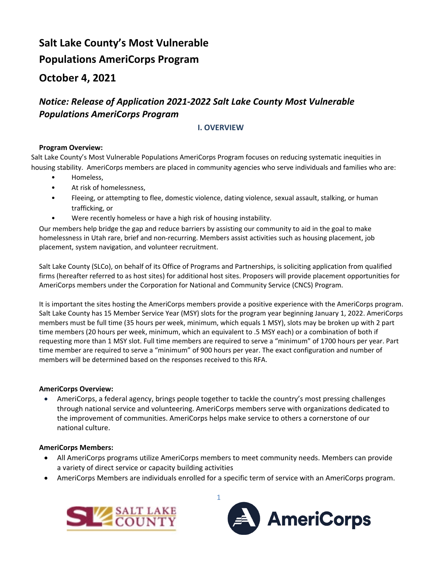# **Salt Lake County's Most Vulnerable Populations AmeriCorps Program**

## **October 4, 2021**

## *Notice: Release of Application 2021-2022 Salt Lake County Most Vulnerable Populations AmeriCorps Program*

## **I. OVERVIEW**

## **Program Overview:**

Salt Lake County's Most Vulnerable Populations AmeriCorps Program focuses on reducing systematic inequities in housing stability. AmeriCorps members are placed in community agencies who serve individuals and families who are:

- Homeless,
- At risk of homelessness,
- Fleeing, or attempting to flee, domestic violence, dating violence, sexual assault, stalking, or human trafficking, or
- Were recently homeless or have a high risk of housing instability.

Our members help bridge the gap and reduce barriers by assisting our community to aid in the goal to make homelessness in Utah rare, brief and non-recurring. Members assist activities such as housing placement, job placement, system navigation, and volunteer recruitment.

Salt Lake County (SLCo), on behalf of its Office of Programs and Partnerships, is soliciting application from qualified firms (hereafter referred to as host sites) for additional host sites. Proposers will provide placement opportunities for AmeriCorps members under the Corporation for National and Community Service (CNCS) Program.

It is important the sites hosting the AmeriCorps members provide a positive experience with the AmeriCorps program. Salt Lake County has 15 Member Service Year (MSY) slots for the program year beginning January 1, 2022. AmeriCorps members must be full time (35 hours per week, minimum, which equals 1 MSY), slots may be broken up with 2 part time members (20 hours per week, minimum, which an equivalent to .5 MSY each) or a combination of both if requesting more than 1 MSY slot. Full time members are required to serve a "minimum" of 1700 hours per year. Part time member are required to serve a "minimum" of 900 hours per year. The exact configuration and number of members will be determined based on the responses received to this RFA.

## **AmeriCorps Overview:**

• AmeriCorps, a federal agency, brings people together to tackle the country's most pressing challenges through national service and volunteering. AmeriCorps members serve with organizations dedicated to the improvement of communities. AmeriCorps helps make service to others a cornerstone of our national culture.

## **AmeriCorps Members:**

- All AmeriCorps programs utilize AmeriCorps members to meet community needs. Members can provide a variety of direct service or capacity building activities
- AmeriCorps Members are individuals enrolled for a specific term of service with an AmeriCorps program.



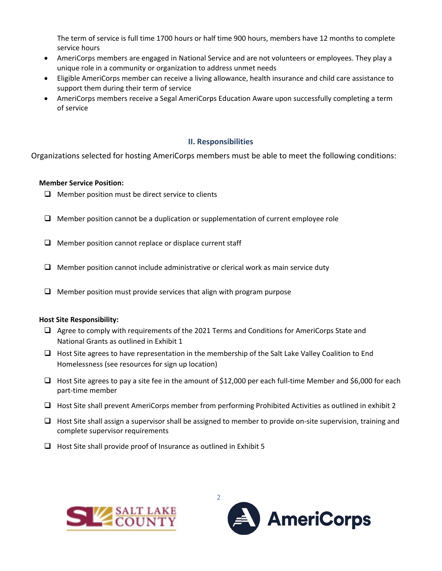The term of service is full time 1700 hours or half time 900 hours, members have 12 months to complete service hours

- AmeriCorps members are engaged in National Service and are not volunteers or employees. They play a unique role in a community or organization to address unmet needs
- Eligible AmeriCorps member can receive a living allowance, health insurance and child care assistance to support them during their term of service
- AmeriCorps members receive a Segal AmeriCorps Education Aware upon successfully completing a term of service

#### **II. Responsibilities**

Organizations selected for hosting AmeriCorps members must be able to meet the following conditions:

#### **Member Service Position:**

- $\Box$  Member position must be direct service to clients
- $\Box$  Member position cannot be a duplication or supplementation of current employee role
- $\Box$  Member position cannot replace or displace current staff
- $\Box$  Member position cannot include administrative or clerical work as main service duty
- $\Box$  Member position must provide services that align with program purpose

#### **Host Site Responsibility:**

- $\Box$  Agree to comply with requirements of the 2021 Terms and Conditions for AmeriCorps State and National Grants as outlined in Exhibit 1
- $\Box$  Host Site agrees to have representation in the membership of the Salt Lake Valley Coalition to End Homelessness (see resources for sign up location)
- $\Box$  Host Site agrees to pay a site fee in the amount of \$12,000 per each full-time Member and \$6,000 for each part-time member
- $\Box$  Host Site shall prevent AmeriCorps member from performing Prohibited Activities as outlined in exhibit 2
- $\Box$  Host Site shall assign a supervisor shall be assigned to member to provide on-site supervision, training and complete supervisor requirements
- $\Box$  Host Site shall provide proof of Insurance as outlined in Exhibit 5



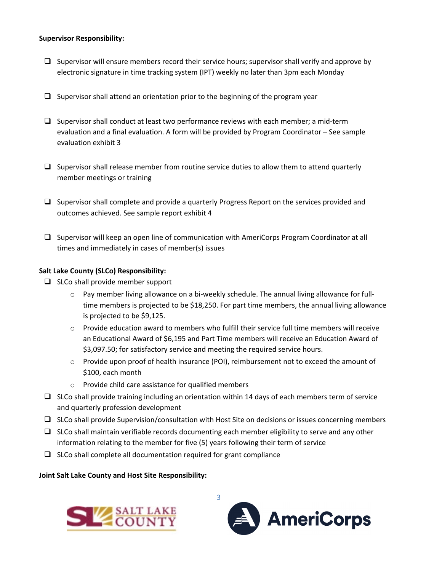#### **Supervisor Responsibility:**

- $\Box$  Supervisor will ensure members record their service hours; supervisor shall verify and approve by electronic signature in time tracking system (IPT) weekly no later than 3pm each Monday
- $\Box$  Supervisor shall attend an orientation prior to the beginning of the program year
- $\square$  Supervisor shall conduct at least two performance reviews with each member; a mid-term evaluation and a final evaluation. A form will be provided by Program Coordinator – See sample evaluation exhibit 3
- $\Box$  Supervisor shall release member from routine service duties to allow them to attend quarterly member meetings or training
- $\Box$  Supervisor shall complete and provide a quarterly Progress Report on the services provided and outcomes achieved. See sample report exhibit 4
- □ Supervisor will keep an open line of communication with AmeriCorps Program Coordinator at all times and immediately in cases of member(s) issues

## **Salt Lake County (SLCo) Responsibility:**

- $\Box$  SLCo shall provide member support
	- $\circ$  Pay member living allowance on a bi-weekly schedule. The annual living allowance for fulltime members is projected to be \$18,250. For part time members, the annual living allowance is projected to be \$9,125.
	- $\circ$  Provide education award to members who fulfill their service full time members will receive an Educational Award of \$6,195 and Part Time members will receive an Education Award of \$3,097.50; for satisfactory service and meeting the required service hours.
	- o Provide upon proof of health insurance (POI), reimbursement not to exceed the amount of \$100, each month
	- o Provide child care assistance for qualified members
- $\Box$  SLCo shall provide training including an orientation within 14 days of each members term of service and quarterly profession development
- $\Box$  SLCo shall provide Supervision/consultation with Host Site on decisions or issues concerning members
- $\Box$  SLCo shall maintain verifiable records documenting each member eligibility to serve and any other information relating to the member for five (5) years following their term of service
- $\Box$  SLCo shall complete all documentation required for grant compliance

**Joint Salt Lake County and Host Site Responsibility:**



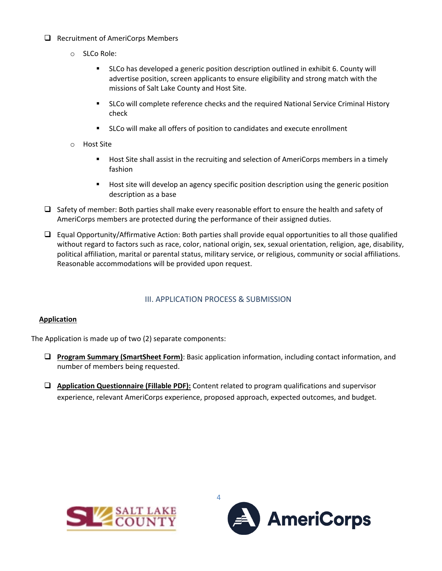- $\Box$  Recruitment of AmeriCorps Members
	- o SLCo Role:
		- SLCo has developed a generic position description outlined in exhibit 6. County will advertise position, screen applicants to ensure eligibility and strong match with the missions of Salt Lake County and Host Site.
		- **SLCo will complete reference checks and the required National Service Criminal History** check
		- SLCo will make all offers of position to candidates and execute enrollment
	- o Host Site
		- **Host Site shall assist in the recruiting and selection of AmeriCorps members in a timely** fashion
		- **Host site will develop an agency specific position description using the generic position** description as a base
- $\Box$  Safety of member: Both parties shall make every reasonable effort to ensure the health and safety of AmeriCorps members are protected during the performance of their assigned duties.
- $\Box$  Equal Opportunity/Affirmative Action: Both parties shall provide equal opportunities to all those qualified without regard to factors such as race, color, national origin, sex, sexual orientation, religion, age, disability, political affiliation, marital or parental status, military service, or religious, community or social affiliations. Reasonable accommodations will be provided upon request.

## III. APPLICATION PROCESS & SUBMISSION

#### **Application**

The Application is made up of two (2) separate components:

- **Program Summary (SmartSheet Form)**: Basic application information, including contact information, and number of members being requested.
- **Application Questionnaire (Fillable PDF):** Content related to program qualifications and supervisor experience, relevant AmeriCorps experience, proposed approach, expected outcomes, and budget.



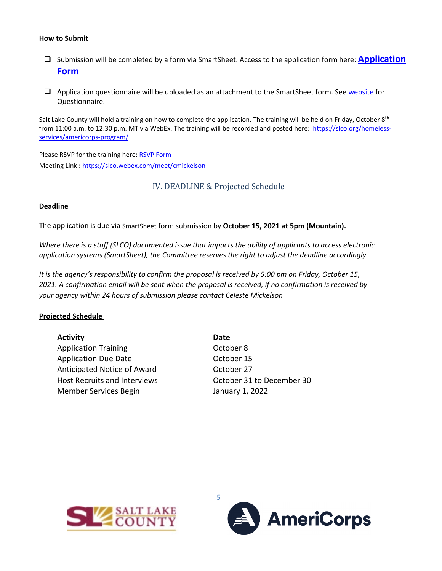#### **How to Submit**

- □ Submission will be completed by a form via SmartSheet. Access to the application form here: **Application [Form](https://app.smartsheet.com/b/form/4ce90b95dd6f43a98b5ca62e7048bcc0)**
- $\Box$  Application questionnaire will be uploaded as an attachment to the SmartSheet form. See [website](https://slco.org/homeless-services/americorps-program/) for Questionnaire.

Salt Lake County will hold a training on how to complete the application. The training will be held on Friday, October 8<sup>th</sup> from 11:00 a.m. to 12:30 p.m. MT via WebEx. The training will be recorded and posted here: https://slco.org/homelessservices/americorps-program/

Please RSVP for the training here: [RSVP Form](https://docs.google.com/forms/d/e/1FAIpQLSdxjtw5bY8DqOuCmn7HkvVtawMexM5X8gMSYV1wOYDLg9Gqww/viewform?usp=sf_link) Meeting Link : <https://slco.webex.com/meet/cmickelson>

IV. DEADLINE & Projected Schedule

#### **Deadline**

The application is due via SmartSheet form submission by **October 15, 2021 at 5pm (Mountain).**

*Where there is a staff (SLCO) documented issue that impacts the ability of applicants to access electronic application systems (SmartSheet), the Committee reserves the right to adjust the deadline accordingly.*

*It is the agency's responsibility to confirm the proposal is received by 5:00 pm on Friday, October 15, 2021. A confirmation email will be sent when the proposal is received, if no confirmation is received by your agency within 24 hours of submission please contact Celeste Mickelson*

#### **Projected Schedule**

| <b>Activity</b> | <b>Date</b> |
|-----------------|-------------|
|                 |             |

Application Training **CELL COLLEGAN COLLEGAN COLLEGAN COLLEGAN COLLEGAN COLLEGAN COLLEGAN COLLEGAN COLLEGAN COLL** Application Due Date **Case Contract Contract Contract October 15** Anticipated Notice of Award **Canada Contract Contract Property** October 27 Host Recruits and Interviews October 31 to December 30 Member Services Begin January 1, 2022



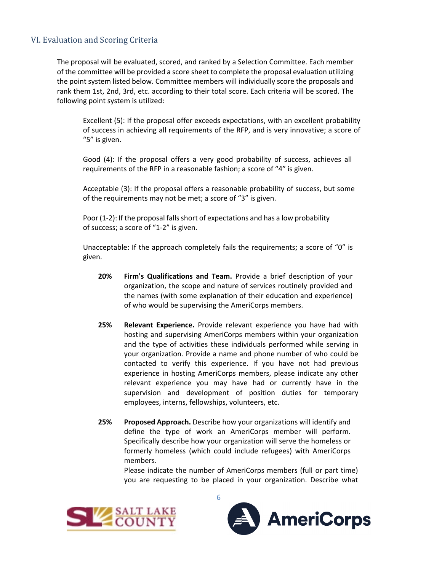## VI. Evaluation and Scoring Criteria

The proposal will be evaluated, scored, and ranked by a Selection Committee. Each member of the committee will be provided a score sheet to complete the proposal evaluation utilizing the point system listed below. Committee members will individually score the proposals and rank them 1st, 2nd, 3rd, etc. according to their total score. Each criteria will be scored. The following point system is utilized:

Excellent (5): If the proposal offer exceeds expectations, with an excellent probability of success in achieving all requirements of the RFP, and is very innovative; a score of "5" is given.

Good (4): If the proposal offers a very good probability of success, achieves all requirements of the RFP in a reasonable fashion; a score of "4" is given.

Acceptable (3): If the proposal offers a reasonable probability of success, but some of the requirements may not be met; a score of "3" is given.

Poor (1-2): If the proposal falls short of expectations and has a low probability of success; a score of "1-2" is given.

Unacceptable: If the approach completely fails the requirements; a score of "0" is given.

- **20% Firm's Qualifications and Team.** Provide a brief description of your organization, the scope and nature of services routinely provided and the names (with some explanation of their education and experience) of who would be supervising the AmeriCorps members.
- **25% Relevant Experience.** Provide relevant experience you have had with hosting and supervising AmeriCorps members within your organization and the type of activities these individuals performed while serving in your organization. Provide a name and phone number of who could be contacted to verify this experience. If you have not had previous experience in hosting AmeriCorps members, please indicate any other relevant experience you may have had or currently have in the supervision and development of position duties for temporary employees, interns, fellowships, volunteers, etc.
- **25% Proposed Approach.** Describe how your organizations will identify and define the type of work an AmeriCorps member will perform. Specifically describe how your organization will serve the homeless or formerly homeless (which could include refugees) with AmeriCorps members.

Please indicate the number of AmeriCorps members (full or part time) you are requesting to be placed in your organization. Describe what